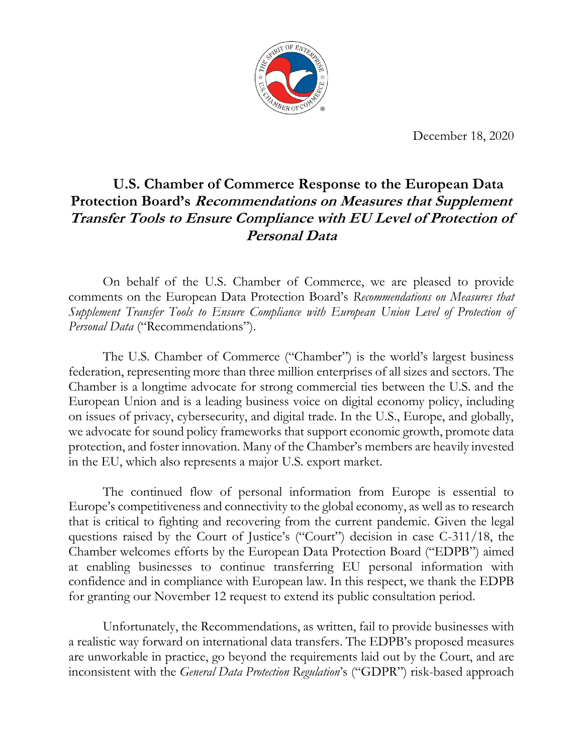

December 18, 2020

# **U.S. Chamber of Commerce Response to the European Data Protection Board's Recommendations on Measures that Supplement Transfer Tools to Ensure Compliance with EU Level of Protection of Personal Data**

On behalf of the U.S. Chamber of Commerce, we are pleased to provide comments on the European Data Protection Board's *Recommendations on Measures that Supplement Transfer Tools to Ensure Compliance with European Union Level of Protection of Personal Data* ("Recommendations").

The U.S. Chamber of Commerce ("Chamber") is the world's largest business federation, representing more than three million enterprises of all sizes and sectors. The Chamber is a longtime advocate for strong commercial ties between the U.S. and the European Union and is a leading business voice on digital economy policy, including on issues of privacy, cybersecurity, and digital trade. In the U.S., Europe, and globally, we advocate for sound policy frameworks that support economic growth, promote data protection, and foster innovation. Many of the Chamber's members are heavily invested in the EU, which also represents a major U.S. export market.

The continued flow of personal information from Europe is essential to Europe's competitiveness and connectivity to the global economy, as well as to research that is critical to fighting and recovering from the current pandemic. Given the legal questions raised by the Court of Justice's ("Court") decision in case C-311/18, the Chamber welcomes efforts by the European Data Protection Board ("EDPB") aimed at enabling businesses to continue transferring EU personal information with confidence and in compliance with European law. In this respect, we thank the EDPB for granting our November 12 request to extend its public consultation period.

Unfortunately, the Recommendations, as written, fail to provide businesses with a realistic way forward on international data transfers. The EDPB's proposed measures are unworkable in practice, go beyond the requirements laid out by the Court, and are inconsistent with the *General Data Protection Regulation*'s ("GDPR") risk-based approach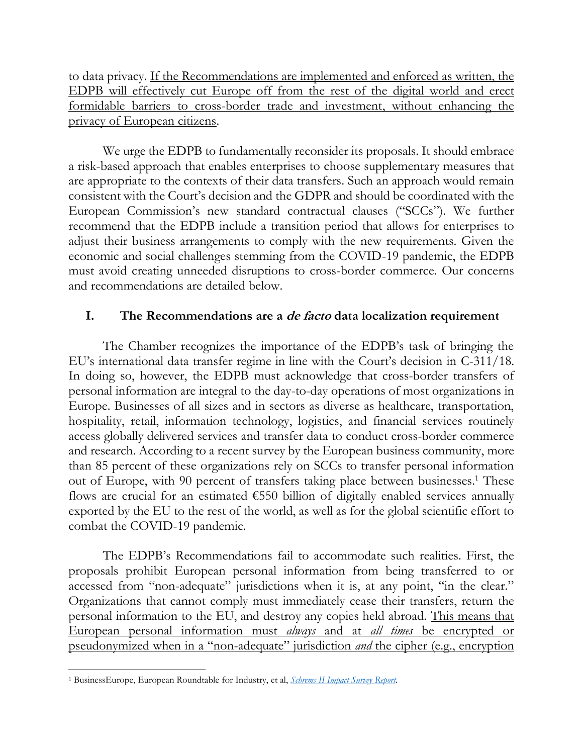to data privacy. If the Recommendations are implemented and enforced as written, the EDPB will effectively cut Europe off from the rest of the digital world and erect formidable barriers to cross-border trade and investment, without enhancing the privacy of European citizens.

We urge the EDPB to fundamentally reconsider its proposals. It should embrace a risk-based approach that enables enterprises to choose supplementary measures that are appropriate to the contexts of their data transfers. Such an approach would remain consistent with the Court's decision and the GDPR and should be coordinated with the European Commission's new standard contractual clauses ("SCCs"). We further recommend that the EDPB include a transition period that allows for enterprises to adjust their business arrangements to comply with the new requirements. Given the economic and social challenges stemming from the COVID-19 pandemic, the EDPB must avoid creating unneeded disruptions to cross-border commerce. Our concerns and recommendations are detailed below.

# **I. The Recommendations are a de facto data localization requirement**

The Chamber recognizes the importance of the EDPB's task of bringing the EU's international data transfer regime in line with the Court's decision in C-311/18. In doing so, however, the EDPB must acknowledge that cross-border transfers of personal information are integral to the day-to-day operations of most organizations in Europe. Businesses of all sizes and in sectors as diverse as healthcare, transportation, hospitality, retail, information technology, logistics, and financial services routinely access globally delivered services and transfer data to conduct cross-border commerce and research. According to a recent survey by the European business community, more than 85 percent of these organizations rely on SCCs to transfer personal information out of Europe, with 90 percent of transfers taking place between businesses. <sup>1</sup> These flows are crucial for an estimated  $\epsilon$ 550 billion of digitally enabled services annually exported by the EU to the rest of the world, as well as for the global scientific effort to combat the COVID-19 pandemic.

The EDPB's Recommendations fail to accommodate such realities. First, the proposals prohibit European personal information from being transferred to or accessed from "non-adequate" jurisdictions when it is, at any point, "in the clear." Organizations that cannot comply must immediately cease their transfers, return the personal information to the EU, and destroy any copies held abroad. This means that European personal information must *always* and at *all times* be encrypted or pseudonymized when in a "non-adequate" jurisdiction *and* the cipher (e.g., encryption

<sup>1</sup> BusinessEurope, European Roundtable for Industry, et al, *[Schrems II Impact Survey Report.](https://www.businesseurope.eu/publications/schrems-ii-impact-survey-report)*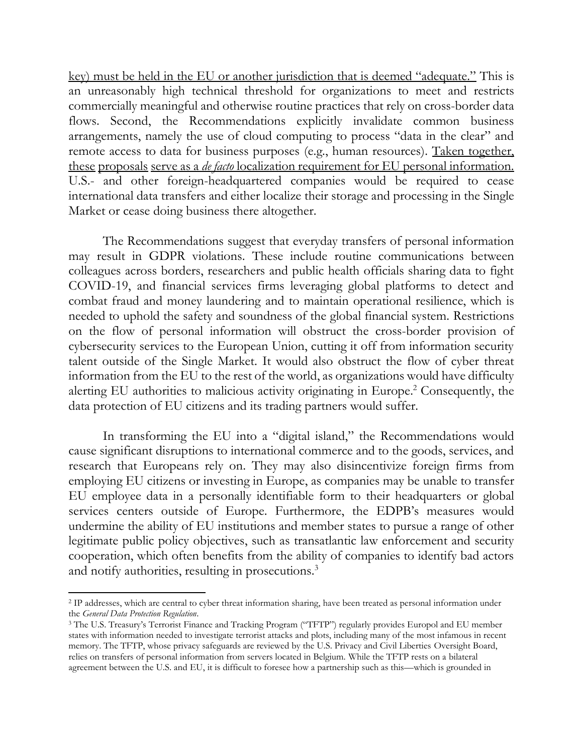key) must be held in the EU or another jurisdiction that is deemed "adequate." This is an unreasonably high technical threshold for organizations to meet and restricts commercially meaningful and otherwise routine practices that rely on cross-border data flows. Second, the Recommendations explicitly invalidate common business arrangements, namely the use of cloud computing to process "data in the clear" and remote access to data for business purposes (e.g., human resources). Taken together, these proposals serve as a *de facto* localization requirement for EU personal information. U.S.- and other foreign-headquartered companies would be required to cease international data transfers and either localize their storage and processing in the Single Market or cease doing business there altogether.

The Recommendations suggest that everyday transfers of personal information may result in GDPR violations. These include routine communications between colleagues across borders, researchers and public health officials sharing data to fight COVID-19, and financial services firms leveraging global platforms to detect and combat fraud and money laundering and to maintain operational resilience, which is needed to uphold the safety and soundness of the global financial system. Restrictions on the flow of personal information will obstruct the cross-border provision of cybersecurity services to the European Union, cutting it off from information security talent outside of the Single Market. It would also obstruct the flow of cyber threat information from the EU to the rest of the world, as organizations would have difficulty alerting EU authorities to malicious activity originating in Europe.<sup>2</sup> Consequently, the data protection of EU citizens and its trading partners would suffer.

In transforming the EU into a "digital island," the Recommendations would cause significant disruptions to international commerce and to the goods, services, and research that Europeans rely on. They may also disincentivize foreign firms from employing EU citizens or investing in Europe, as companies may be unable to transfer EU employee data in a personally identifiable form to their headquarters or global services centers outside of Europe. Furthermore, the EDPB's measures would undermine the ability of EU institutions and member states to pursue a range of other legitimate public policy objectives, such as transatlantic law enforcement and security cooperation, which often benefits from the ability of companies to identify bad actors and notify authorities, resulting in prosecutions.<sup>3</sup>

<sup>2</sup> IP addresses, which are central to cyber threat information sharing, have been treated as personal information under the *General Data Protection Regulation*.

<sup>3</sup> The U.S. Treasury's Terrorist Finance and Tracking Program ("TFTP") regularly provides Europol and EU member states with information needed to investigate terrorist attacks and plots, including many of the most infamous in recent memory. The TFTP, whose privacy safeguards are reviewed by the U.S. Privacy and Civil Liberties Oversight Board, relies on transfers of personal information from servers located in Belgium. While the TFTP rests on a bilateral agreement between the U.S. and EU, it is difficult to foresee how a partnership such as this—which is grounded in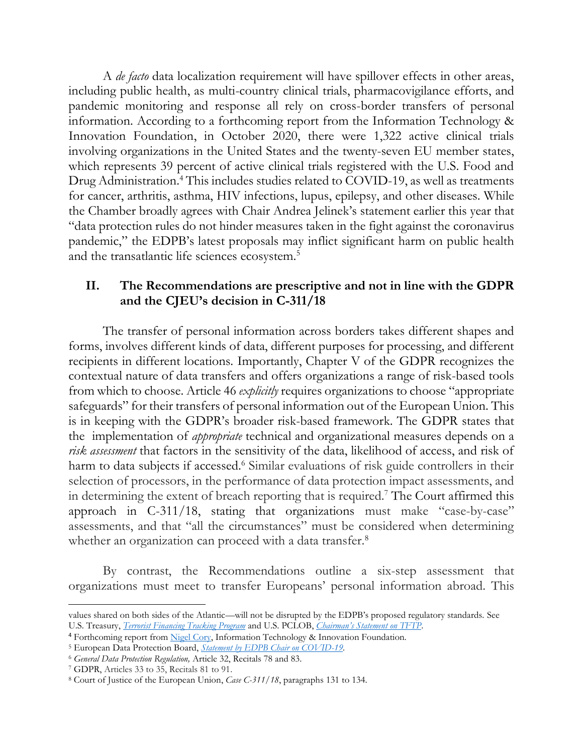A *de facto* data localization requirement will have spillover effects in other areas, including public health, as multi-country clinical trials, pharmacovigilance efforts, and pandemic monitoring and response all rely on cross-border transfers of personal information. According to a forthcoming report from the Information Technology & Innovation Foundation, in October 2020, there were 1,322 active clinical trials involving organizations in the United States and the twenty-seven EU member states, which represents 39 percent of active clinical trials registered with the U.S. Food and Drug Administration.<sup>4</sup> This includes studies related to COVID-19, as well as treatments for cancer, arthritis, asthma, HIV infections, lupus, epilepsy, and other diseases. While the Chamber broadly agrees with Chair Andrea Jelinek's statement earlier this year that "data protection rules do not hinder measures taken in the fight against the coronavirus pandemic," the EDPB's latest proposals may inflict significant harm on public health and the transatlantic life sciences ecosystem.<sup>5</sup>

### **II. The Recommendations are prescriptive and not in line with the GDPR and the CJEU's decision in C-311/18**

The transfer of personal information across borders takes different shapes and forms, involves different kinds of data, different purposes for processing, and different recipients in different locations. Importantly, Chapter V of the GDPR recognizes the contextual nature of data transfers and offers organizations a range of risk-based tools from which to choose. Article 46 *explicitly* requires organizations to choose "appropriate safeguards" for their transfers of personal information out of the European Union. This is in keeping with the GDPR's broader risk-based framework. The GDPR states that the implementation of *appropriate* technical and organizational measures depends on a *risk assessment* that factors in the sensitivity of the data, likelihood of access, and risk of harm to data subjects if accessed.<sup>6</sup> Similar evaluations of risk guide controllers in their selection of processors, in the performance of data protection impact assessments, and in determining the extent of breach reporting that is required. <sup>7</sup> The Court affirmed this approach in C-311/18, stating that organizations must make "case-by-case" assessments, and that "all the circumstances" must be considered when determining whether an organization can proceed with a data transfer.<sup>8</sup>

By contrast, the Recommendations outline a six-step assessment that organizations must meet to transfer Europeans' personal information abroad. This

values shared on both sides of the Atlantic—will not be disrupted by the EDPB's proposed regulatory standards. See U.S. Treasury, *[Terrorist Financing Tracking Program](https://home.treasury.gov/policy-issues/terrorism-and-illicit-finance/terrorist-finance-tracking-program-tftp)* and U.S. PCLOB, *[Chairman's Statement on TFTP](https://documents.pclob.gov/prod/Documents/EventsAndPress/b8ce341a-71d5-4cdd-a101-219454bfa459/TFTP%20Chairman%20Statement%2011_19_20.pdf)*.

<sup>&</sup>lt;sup>4</sup> Forthcoming report from [Nigel Cory,](https://itif.org/person/nigel-cory) Information Technology & Innovation Foundation.

<sup>5</sup> European Data Protection Board, *[Statement by EDPB Chair on COVID-19.](https://edpb.europa.eu/news/news/2020/statement-edpb-chair-processing-personal-data-context-covid-19-outbreak_en)*

<sup>6</sup> *General Data Protection Regulation,* Article 32, Recitals 78 and 83.

<sup>7</sup> GDPR, Articles 33 to 35, Recitals 81 to 91.

<sup>8</sup> Court of Justice of the European Union, *Case C-311/18*, paragraphs 131 to 134.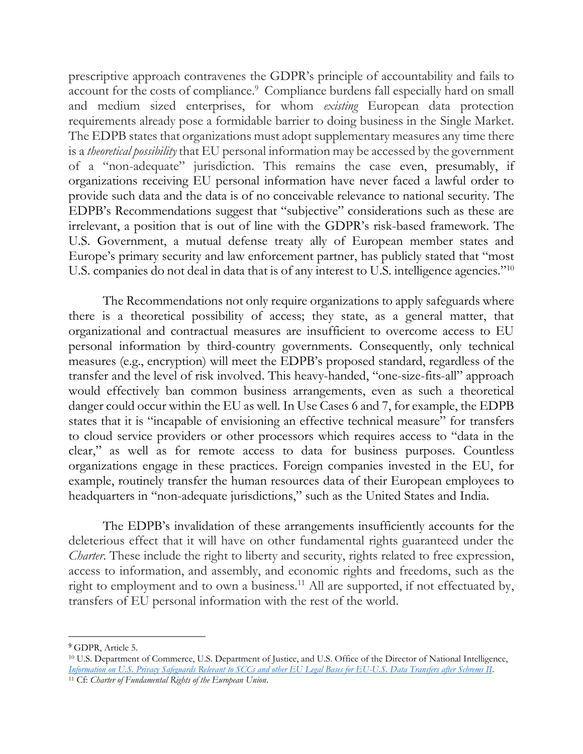prescriptive approach contravenes the GDPR's principle of accountability and fails to account for the costs of compliance.<sup>9</sup> Compliance burdens fall especially hard on small and medium sized enterprises, for whom *existing* European data protection requirements already pose a formidable barrier to doing business in the Single Market. The EDPB states that organizations must adopt supplementary measures any time there is a *theoretical possibility* that EU personal information may be accessed by the government of a "non-adequate" jurisdiction. This remains the case even, presumably, if organizations receiving EU personal information have never faced a lawful order to provide such data and the data is of no conceivable relevance to national security. The EDPB's Recommendations suggest that "subjective" considerations such as these are irrelevant, a position that is out of line with the GDPR's risk-based framework. The U.S. Government, a mutual defense treaty ally of European member states and Europe's primary security and law enforcement partner, has publicly stated that "most U.S. companies do not deal in data that is of any interest to U.S. intelligence agencies."<sup>10</sup>

The Recommendations not only require organizations to apply safeguards where there is a theoretical possibility of access; they state, as a general matter, that organizational and contractual measures are insufficient to overcome access to EU personal information by third-country governments. Consequently, only technical measures (e.g., encryption) will meet the EDPB's proposed standard, regardless of the transfer and the level of risk involved. This heavy-handed, "one-size-fits-all" approach would effectively ban common business arrangements, even as such a theoretical danger could occur within the EU as well. In Use Cases 6 and 7, for example, the EDPB states that it is "incapable of envisioning an effective technical measure" for transfers to cloud service providers or other processors which requires access to "data in the clear," as well as for remote access to data for business purposes. Countless organizations engage in these practices. Foreign companies invested in the EU, for example, routinely transfer the human resources data of their European employees to headquarters in "non-adequate jurisdictions," such as the United States and India.

The EDPB's invalidation of these arrangements insufficiently accounts for the deleterious effect that it will have on other fundamental rights guaranteed under the *Charter*. These include the right to liberty and security, rights related to free expression, access to information, and assembly, and economic rights and freedoms, such as the right to employment and to own a business.<sup>11</sup> All are supported, if not effectuated by, transfers of EU personal information with the rest of the world.

<sup>&</sup>lt;sup>9</sup> GDPR, Article 5.

<sup>10</sup> U.S. Department of Commerce, U.S. Department of Justice, and U.S. Office of the Director of National Intelligence, *[Information on U.S. Privacy Safeguards Relevant to SCCs and other EU Legal Bases for EU-U.S. Data Transfers after Schrems II](https://www.privacyshield.gov/servlet/servlet.FileDownload?file=015t0000000kyhX)*.

<sup>11</sup> Cf: *Charter of Fundamental Rights of the European Union*.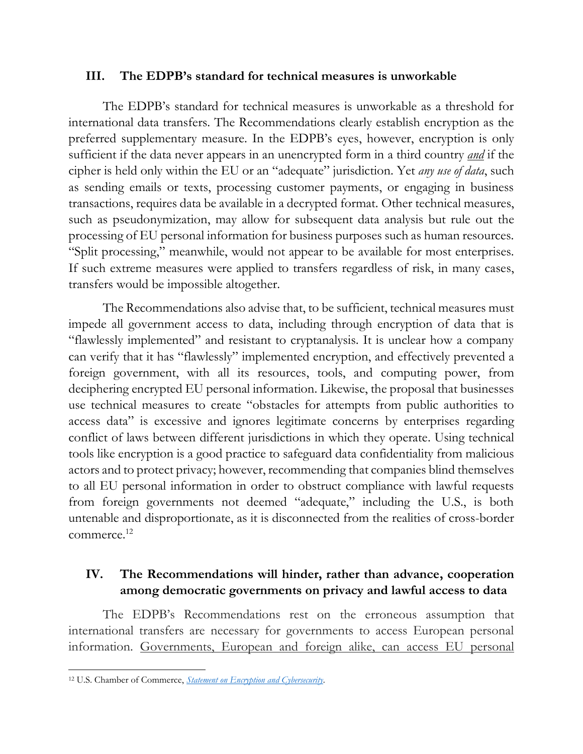### **III. The EDPB's standard for technical measures is unworkable**

The EDPB's standard for technical measures is unworkable as a threshold for international data transfers. The Recommendations clearly establish encryption as the preferred supplementary measure. In the EDPB's eyes, however, encryption is only sufficient if the data never appears in an unencrypted form in a third country *and* if the cipher is held only within the EU or an "adequate" jurisdiction. Yet *any use of data*, such as sending emails or texts, processing customer payments, or engaging in business transactions, requires data be available in a decrypted format. Other technical measures, such as pseudonymization, may allow for subsequent data analysis but rule out the processing of EU personal information for business purposes such as human resources. "Split processing," meanwhile, would not appear to be available for most enterprises. If such extreme measures were applied to transfers regardless of risk, in many cases, transfers would be impossible altogether.

The Recommendations also advise that, to be sufficient, technical measures must impede all government access to data, including through encryption of data that is "flawlessly implemented" and resistant to cryptanalysis. It is unclear how a company can verify that it has "flawlessly" implemented encryption, and effectively prevented a foreign government, with all its resources, tools, and computing power, from deciphering encrypted EU personal information. Likewise, the proposal that businesses use technical measures to create "obstacles for attempts from public authorities to access data" is excessive and ignores legitimate concerns by enterprises regarding conflict of laws between different jurisdictions in which they operate. Using technical tools like encryption is a good practice to safeguard data confidentiality from malicious actors and to protect privacy; however, recommending that companies blind themselves to all EU personal information in order to obstruct compliance with lawful requests from foreign governments not deemed "adequate," including the U.S., is both untenable and disproportionate, as it is disconnected from the realities of cross-border commerce. 12

# **IV. The Recommendations will hinder, rather than advance, cooperation among democratic governments on privacy and lawful access to data**

The EDPB's Recommendations rest on the erroneous assumption that international transfers are necessary for governments to access European personal information. Governments, European and foreign alike, can access EU personal

<sup>12</sup> U.S. Chamber of Commerce, *[Statement on Encryption and Cybersecurity.](https://www.uschamber.com/sites/default/files/documents/files/us_chamber_encryption-cyber_policy_statement_oct_14_2016_final_1_0.pdf)*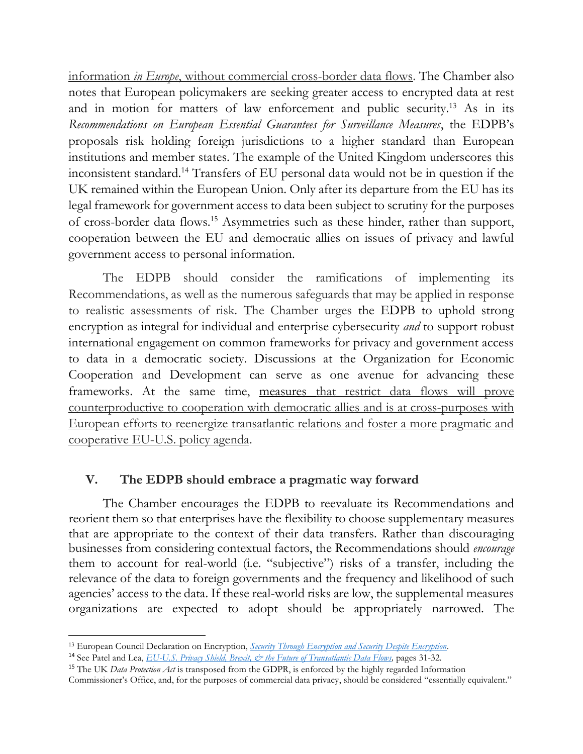information *in Europe*, without commercial cross-border data flows. The Chamber also notes that European policymakers are seeking greater access to encrypted data at rest and in motion for matters of law enforcement and public security.<sup>13</sup> As in its *Recommendations on European Essential Guarantees for Surveillance Measures*, the EDPB's proposals risk holding foreign jurisdictions to a higher standard than European institutions and member states. The example of the United Kingdom underscores this inconsistent standard. <sup>14</sup> Transfers of EU personal data would not be in question if the UK remained within the European Union. Only after its departure from the EU has its legal framework for government access to data been subject to scrutiny for the purposes of cross-border data flows.<sup>15</sup> Asymmetries such as these hinder, rather than support, cooperation between the EU and democratic allies on issues of privacy and lawful government access to personal information.

The EDPB should consider the ramifications of implementing its Recommendations, as well as the numerous safeguards that may be applied in response to realistic assessments of risk. The Chamber urges the EDPB to uphold strong encryption as integral for individual and enterprise cybersecurity *and* to support robust international engagement on common frameworks for privacy and government access to data in a democratic society. Discussions at the Organization for Economic Cooperation and Development can serve as one avenue for advancing these frameworks. At the same time, measures that restrict data flows will prove counterproductive to cooperation with democratic allies and is at cross-purposes with European efforts to reenergize transatlantic relations and foster a more pragmatic and cooperative EU-U.S. policy agenda.

## **V. The EDPB should embrace a pragmatic way forward**

The Chamber encourages the EDPB to reevaluate its Recommendations and reorient them so that enterprises have the flexibility to choose supplementary measures that are appropriate to the context of their data transfers. Rather than discouraging businesses from considering contextual factors, the Recommendations should *encourage* them to account for real-world (i.e. "subjective") risks of a transfer, including the relevance of the data to foreign governments and the frequency and likelihood of such agencies' access to the data. If these real-world risks are low, the supplemental measures organizations are expected to adopt should be appropriately narrowed. The

<sup>13</sup> European Council Declaration on Encryption, *[Security Through Encryption and Security Despite Encryption.](https://www.consilium.europa.eu/en/press/press-releases/2020/12/14/encryption-council-adopts-resolution-on-security-through-encryption-and-security-despite-encryption/?utm_source=dsms-auto&utm_medium=email&utm_campaign=Encryption%3A+Council+adopts+resolution+on+security+through+encryption+and+security+despite+encryption&source=email)*

<sup>&</sup>lt;sup>14</sup> See Patel and Lea, *EU-U.S. Privacy Shield, Brexit, & the Future of Transatlantic Data Flows*, pages 31-32.

<sup>15</sup> The UK *Data Protection Act* is transposed from the GDPR, is enforced by the highly regarded Information Commissioner's Office, and, for the purposes of commercial data privacy, should be considered "essentially equivalent."